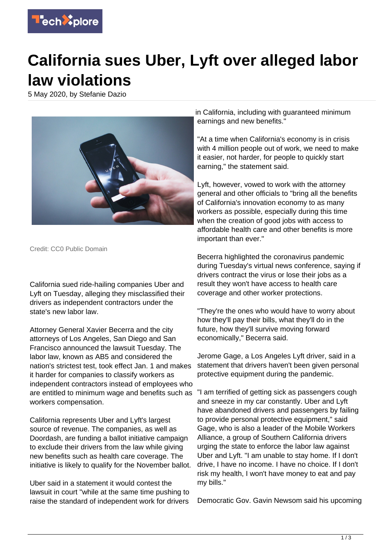

## **California sues Uber, Lyft over alleged labor law violations**

5 May 2020, by Stefanie Dazio



Credit: CC0 Public Domain

California sued ride-hailing companies Uber and Lyft on Tuesday, alleging they misclassified their drivers as independent contractors under the state's new labor law.

Attorney General Xavier Becerra and the city attorneys of Los Angeles, San Diego and San Francisco announced the lawsuit Tuesday. The labor law, known as AB5 and considered the nation's strictest test, took effect Jan. 1 and makes it harder for companies to classify workers as independent contractors instead of employees who are entitled to minimum wage and benefits such as workers compensation.

California represents Uber and Lyft's largest source of revenue. The companies, as well as Doordash, are funding a ballot initiative campaign to exclude their drivers from the law while giving new benefits such as health care coverage. The initiative is likely to qualify for the November ballot.

Uber said in a statement it would contest the lawsuit in court "while at the same time pushing to raise the standard of independent work for drivers

in California, including with guaranteed minimum earnings and new benefits."

"At a time when California's economy is in crisis with 4 million people out of work, we need to make it easier, not harder, for people to quickly start earning," the statement said.

Lyft, however, vowed to work with the attorney general and other officials to "bring all the benefits of California's innovation economy to as many workers as possible, especially during this time when the creation of good jobs with access to affordable health care and other benefits is more important than ever."

Becerra highlighted the coronavirus pandemic during Tuesday's virtual news conference, saying if drivers contract the virus or lose their jobs as a result they won't have access to health care coverage and other worker protections.

"They're the ones who would have to worry about how they'll pay their bills, what they'll do in the future, how they'll survive moving forward economically," Becerra said.

Jerome Gage, a Los Angeles Lyft driver, said in a statement that drivers haven't been given personal protective equipment during the pandemic.

"I am terrified of getting sick as passengers cough and sneeze in my car constantly. Uber and Lyft have abandoned drivers and passengers by failing to provide personal protective equipment," said Gage, who is also a leader of the Mobile Workers Alliance, a group of Southern California drivers urging the state to enforce the labor law against Uber and Lyft. "I am unable to stay home. If I don't drive, I have no income. I have no choice. If I don't risk my health, I won't have money to eat and pay my bills."

Democratic Gov. Gavin Newsom said his upcoming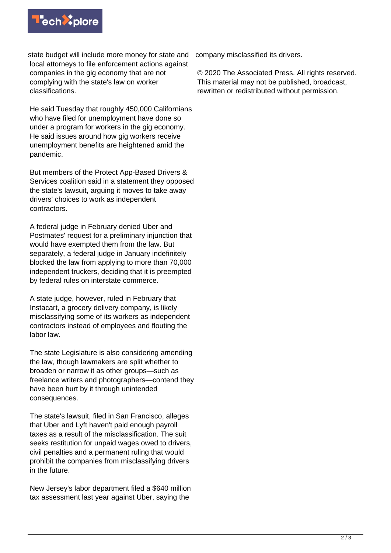

state budget will include more money for state and company misclassified its drivers. local attorneys to file enforcement actions against companies in the gig economy that are not complying with the state's law on worker classifications.

He said Tuesday that roughly 450,000 Californians who have filed for unemployment have done so under a program for workers in the gig economy. He said issues around how gig workers receive unemployment benefits are heightened amid the pandemic.

But members of the Protect App-Based Drivers & Services coalition said in a statement they opposed the state's lawsuit, arguing it moves to take away drivers' choices to work as independent contractors.

A federal judge in February denied Uber and Postmates' request for a preliminary injunction that would have exempted them from the law. But separately, a federal judge in January indefinitely blocked the law from applying to more than 70,000 independent truckers, deciding that it is preempted by federal rules on interstate commerce.

A state judge, however, ruled in February that Instacart, a grocery delivery company, is likely misclassifying some of its workers as independent contractors instead of employees and flouting the labor law.

The state Legislature is also considering amending the law, though lawmakers are split whether to broaden or narrow it as other groups—such as freelance writers and photographers—contend they have been hurt by it through unintended consequences.

The state's lawsuit, filed in San Francisco, alleges that Uber and Lyft haven't paid enough payroll taxes as a result of the misclassification. The suit seeks restitution for unpaid wages owed to drivers, civil penalties and a permanent ruling that would prohibit the companies from misclassifying drivers in the future.

New Jersey's labor department filed a \$640 million tax assessment last year against Uber, saying the

© 2020 The Associated Press. All rights reserved. This material may not be published, broadcast, rewritten or redistributed without permission.